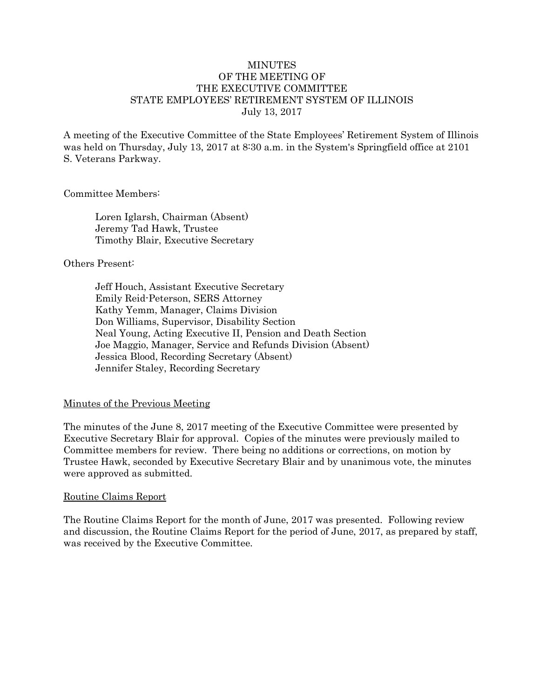#### MINUTES OF THE MEETING OF THE EXECUTIVE COMMITTEE STATE EMPLOYEES' RETIREMENT SYSTEM OF ILLINOIS July 13, 2017

A meeting of the Executive Committee of the State Employees' Retirement System of Illinois was held on Thursday, July 13, 2017 at 8:30 a.m. in the System's Springfield office at 2101 S. Veterans Parkway.

#### Committee Members:

Loren Iglarsh, Chairman (Absent) Jeremy Tad Hawk, Trustee Timothy Blair, Executive Secretary

#### Others Present:

Jeff Houch, Assistant Executive Secretary Emily Reid-Peterson, SERS Attorney Kathy Yemm, Manager, Claims Division Don Williams, Supervisor, Disability Section Neal Young, Acting Executive II, Pension and Death Section Joe Maggio, Manager, Service and Refunds Division (Absent) Jessica Blood, Recording Secretary (Absent) Jennifer Staley, Recording Secretary

### Minutes of the Previous Meeting

The minutes of the June 8, 2017 meeting of the Executive Committee were presented by Executive Secretary Blair for approval. Copies of the minutes were previously mailed to Committee members for review. There being no additions or corrections, on motion by Trustee Hawk, seconded by Executive Secretary Blair and by unanimous vote, the minutes were approved as submitted.

#### Routine Claims Report

The Routine Claims Report for the month of June, 2017 was presented. Following review and discussion, the Routine Claims Report for the period of June, 2017, as prepared by staff, was received by the Executive Committee.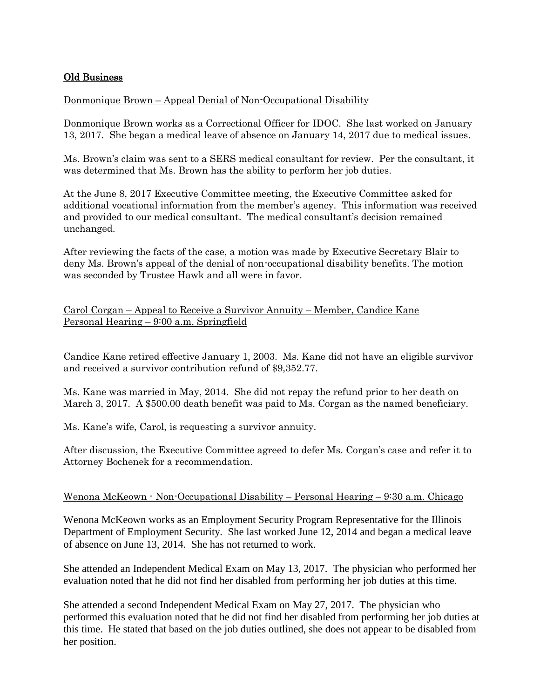# Old Business

# Donmonique Brown – Appeal Denial of Non-Occupational Disability

Donmonique Brown works as a Correctional Officer for IDOC. She last worked on January 13, 2017. She began a medical leave of absence on January 14, 2017 due to medical issues.

Ms. Brown's claim was sent to a SERS medical consultant for review. Per the consultant, it was determined that Ms. Brown has the ability to perform her job duties.

At the June 8, 2017 Executive Committee meeting, the Executive Committee asked for additional vocational information from the member's agency. This information was received and provided to our medical consultant. The medical consultant's decision remained unchanged.

After reviewing the facts of the case, a motion was made by Executive Secretary Blair to deny Ms. Brown's appeal of the denial of non-occupational disability benefits. The motion was seconded by Trustee Hawk and all were in favor.

## Carol Corgan – Appeal to Receive a Survivor Annuity – Member, Candice Kane Personal Hearing – 9:00 a.m. Springfield

Candice Kane retired effective January 1, 2003. Ms. Kane did not have an eligible survivor and received a survivor contribution refund of \$9,352.77.

Ms. Kane was married in May, 2014. She did not repay the refund prior to her death on March 3, 2017. A \$500.00 death benefit was paid to Ms. Corgan as the named beneficiary.

Ms. Kane's wife, Carol, is requesting a survivor annuity.

After discussion, the Executive Committee agreed to defer Ms. Corgan's case and refer it to Attorney Bochenek for a recommendation.

### Wenona McKeown - Non-Occupational Disability – Personal Hearing – 9:30 a.m. Chicago

Wenona McKeown works as an Employment Security Program Representative for the Illinois Department of Employment Security. She last worked June 12, 2014 and began a medical leave of absence on June 13, 2014. She has not returned to work.

She attended an Independent Medical Exam on May 13, 2017. The physician who performed her evaluation noted that he did not find her disabled from performing her job duties at this time.

She attended a second Independent Medical Exam on May 27, 2017. The physician who performed this evaluation noted that he did not find her disabled from performing her job duties at this time. He stated that based on the job duties outlined, she does not appear to be disabled from her position.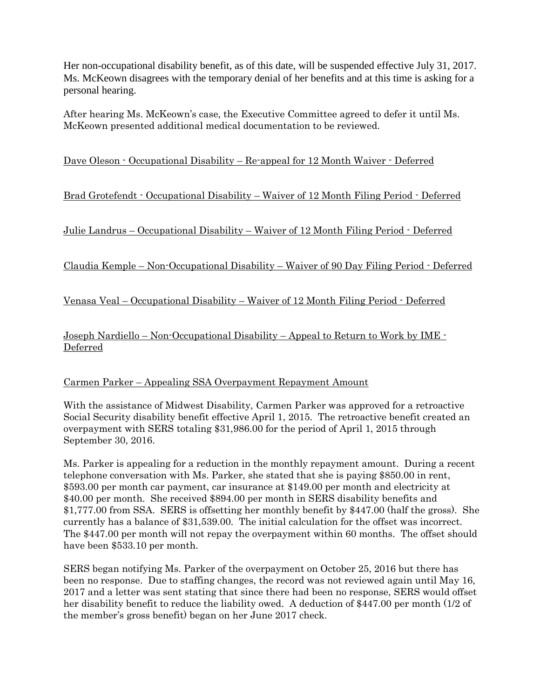Her non-occupational disability benefit, as of this date, will be suspended effective July 31, 2017. Ms. McKeown disagrees with the temporary denial of her benefits and at this time is asking for a personal hearing.

After hearing Ms. McKeown's case, the Executive Committee agreed to defer it until Ms. McKeown presented additional medical documentation to be reviewed.

Dave Oleson - Occupational Disability – Re-appeal for 12 Month Waiver - Deferred

Brad Grotefendt - Occupational Disability – Waiver of 12 Month Filing Period - Deferred

Julie Landrus – Occupational Disability – Waiver of 12 Month Filing Period - Deferred

Claudia Kemple – Non-Occupational Disability – Waiver of 90 Day Filing Period - Deferred

Venasa Veal – Occupational Disability – Waiver of 12 Month Filing Period - Deferred

Joseph Nardiello – Non-Occupational Disability – Appeal to Return to Work by IME - Deferred

### Carmen Parker – Appealing SSA Overpayment Repayment Amount

With the assistance of Midwest Disability, Carmen Parker was approved for a retroactive Social Security disability benefit effective April 1, 2015. The retroactive benefit created an overpayment with SERS totaling \$31,986.00 for the period of April 1, 2015 through September 30, 2016.

Ms. Parker is appealing for a reduction in the monthly repayment amount. During a recent telephone conversation with Ms. Parker, she stated that she is paying \$850.00 in rent, \$593.00 per month car payment, car insurance at \$149.00 per month and electricity at \$40.00 per month. She received \$894.00 per month in SERS disability benefits and \$1,777.00 from SSA. SERS is offsetting her monthly benefit by \$447.00 (half the gross). She currently has a balance of \$31,539.00. The initial calculation for the offset was incorrect. The \$447.00 per month will not repay the overpayment within 60 months. The offset should have been \$533.10 per month.

SERS began notifying Ms. Parker of the overpayment on October 25, 2016 but there has been no response. Due to staffing changes, the record was not reviewed again until May 16, 2017 and a letter was sent stating that since there had been no response, SERS would offset her disability benefit to reduce the liability owed. A deduction of \$447.00 per month (1/2 of the member's gross benefit) began on her June 2017 check.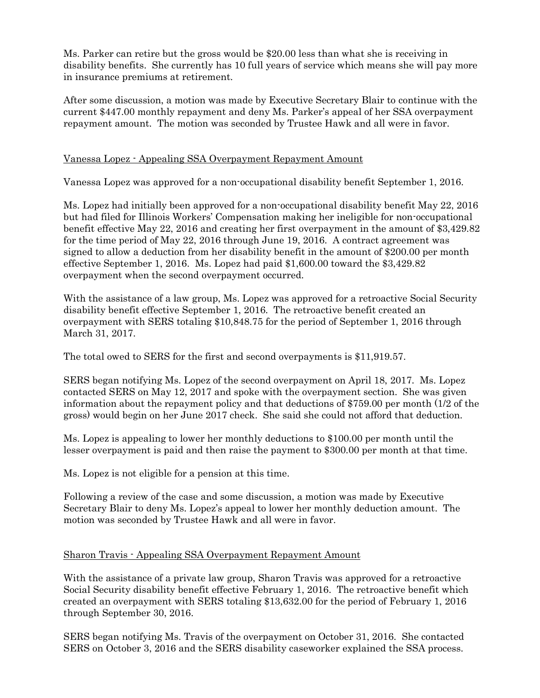Ms. Parker can retire but the gross would be \$20.00 less than what she is receiving in disability benefits. She currently has 10 full years of service which means she will pay more in insurance premiums at retirement.

After some discussion, a motion was made by Executive Secretary Blair to continue with the current \$447.00 monthly repayment and deny Ms. Parker's appeal of her SSA overpayment repayment amount. The motion was seconded by Trustee Hawk and all were in favor.

## Vanessa Lopez - Appealing SSA Overpayment Repayment Amount

Vanessa Lopez was approved for a non-occupational disability benefit September 1, 2016.

Ms. Lopez had initially been approved for a non-occupational disability benefit May 22, 2016 but had filed for Illinois Workers' Compensation making her ineligible for non-occupational benefit effective May 22, 2016 and creating her first overpayment in the amount of \$3,429.82 for the time period of May 22, 2016 through June 19, 2016. A contract agreement was signed to allow a deduction from her disability benefit in the amount of \$200.00 per month effective September 1, 2016. Ms. Lopez had paid \$1,600.00 toward the \$3,429.82 overpayment when the second overpayment occurred.

With the assistance of a law group, Ms. Lopez was approved for a retroactive Social Security disability benefit effective September 1, 2016. The retroactive benefit created an overpayment with SERS totaling \$10,848.75 for the period of September 1, 2016 through March 31, 2017.

The total owed to SERS for the first and second overpayments is \$11,919.57.

SERS began notifying Ms. Lopez of the second overpayment on April 18, 2017. Ms. Lopez contacted SERS on May 12, 2017 and spoke with the overpayment section. She was given information about the repayment policy and that deductions of \$759.00 per month (1/2 of the gross) would begin on her June 2017 check. She said she could not afford that deduction.

Ms. Lopez is appealing to lower her monthly deductions to \$100.00 per month until the lesser overpayment is paid and then raise the payment to \$300.00 per month at that time.

Ms. Lopez is not eligible for a pension at this time.

Following a review of the case and some discussion, a motion was made by Executive Secretary Blair to deny Ms. Lopez's appeal to lower her monthly deduction amount. The motion was seconded by Trustee Hawk and all were in favor.

### Sharon Travis - Appealing SSA Overpayment Repayment Amount

With the assistance of a private law group, Sharon Travis was approved for a retroactive Social Security disability benefit effective February 1, 2016. The retroactive benefit which created an overpayment with SERS totaling \$13,632.00 for the period of February 1, 2016 through September 30, 2016.

SERS began notifying Ms. Travis of the overpayment on October 31, 2016. She contacted SERS on October 3, 2016 and the SERS disability caseworker explained the SSA process.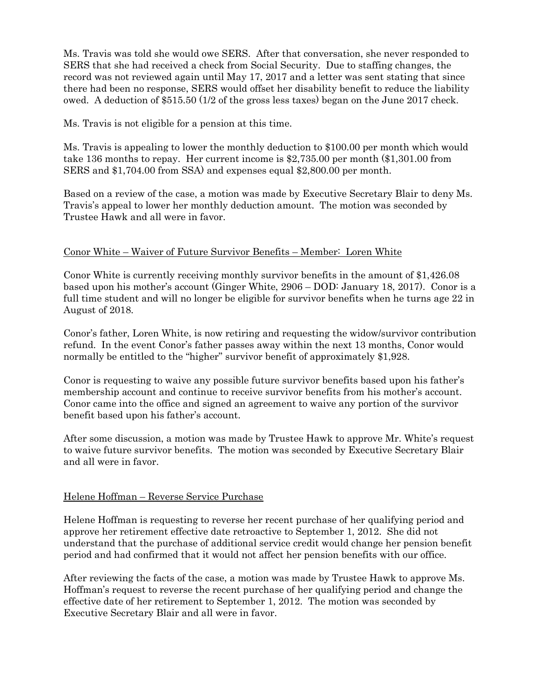Ms. Travis was told she would owe SERS. After that conversation, she never responded to SERS that she had received a check from Social Security. Due to staffing changes, the record was not reviewed again until May 17, 2017 and a letter was sent stating that since there had been no response, SERS would offset her disability benefit to reduce the liability owed. A deduction of \$515.50 (1/2 of the gross less taxes) began on the June 2017 check.

Ms. Travis is not eligible for a pension at this time.

Ms. Travis is appealing to lower the monthly deduction to \$100.00 per month which would take 136 months to repay. Her current income is \$2,735.00 per month (\$1,301.00 from SERS and \$1,704.00 from SSA) and expenses equal \$2,800.00 per month.

Based on a review of the case, a motion was made by Executive Secretary Blair to deny Ms. Travis's appeal to lower her monthly deduction amount. The motion was seconded by Trustee Hawk and all were in favor.

### Conor White – Waiver of Future Survivor Benefits – Member: Loren White

Conor White is currently receiving monthly survivor benefits in the amount of \$1,426.08 based upon his mother's account (Ginger White, 2906 – DOD: January 18, 2017). Conor is a full time student and will no longer be eligible for survivor benefits when he turns age 22 in August of 2018.

Conor's father, Loren White, is now retiring and requesting the widow/survivor contribution refund. In the event Conor's father passes away within the next 13 months, Conor would normally be entitled to the "higher" survivor benefit of approximately \$1,928.

Conor is requesting to waive any possible future survivor benefits based upon his father's membership account and continue to receive survivor benefits from his mother's account. Conor came into the office and signed an agreement to waive any portion of the survivor benefit based upon his father's account.

After some discussion, a motion was made by Trustee Hawk to approve Mr. White's request to waive future survivor benefits. The motion was seconded by Executive Secretary Blair and all were in favor.

#### Helene Hoffman – Reverse Service Purchase

Helene Hoffman is requesting to reverse her recent purchase of her qualifying period and approve her retirement effective date retroactive to September 1, 2012. She did not understand that the purchase of additional service credit would change her pension benefit period and had confirmed that it would not affect her pension benefits with our office.

After reviewing the facts of the case, a motion was made by Trustee Hawk to approve Ms. Hoffman's request to reverse the recent purchase of her qualifying period and change the effective date of her retirement to September 1, 2012. The motion was seconded by Executive Secretary Blair and all were in favor.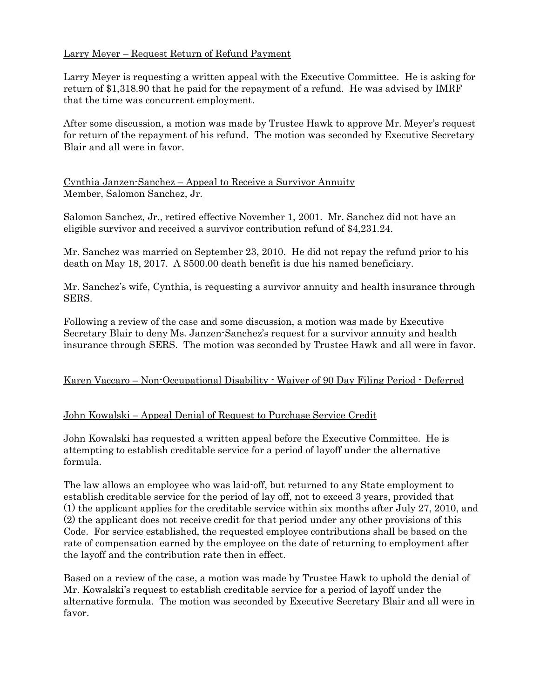# Larry Meyer – Request Return of Refund Payment

Larry Meyer is requesting a written appeal with the Executive Committee. He is asking for return of \$1,318.90 that he paid for the repayment of a refund. He was advised by IMRF that the time was concurrent employment.

After some discussion, a motion was made by Trustee Hawk to approve Mr. Meyer's request for return of the repayment of his refund. The motion was seconded by Executive Secretary Blair and all were in favor.

### Cynthia Janzen-Sanchez – Appeal to Receive a Survivor Annuity Member, Salomon Sanchez, Jr.

Salomon Sanchez, Jr., retired effective November 1, 2001. Mr. Sanchez did not have an eligible survivor and received a survivor contribution refund of \$4,231.24.

Mr. Sanchez was married on September 23, 2010. He did not repay the refund prior to his death on May 18, 2017. A \$500.00 death benefit is due his named beneficiary.

Mr. Sanchez's wife, Cynthia, is requesting a survivor annuity and health insurance through SERS.

Following a review of the case and some discussion, a motion was made by Executive Secretary Blair to deny Ms. Janzen-Sanchez's request for a survivor annuity and health insurance through SERS. The motion was seconded by Trustee Hawk and all were in favor.

### Karen Vaccaro – Non-Occupational Disability - Waiver of 90 Day Filing Period - Deferred

### John Kowalski – Appeal Denial of Request to Purchase Service Credit

John Kowalski has requested a written appeal before the Executive Committee. He is attempting to establish creditable service for a period of layoff under the alternative formula.

The law allows an employee who was laid-off, but returned to any State employment to establish creditable service for the period of lay off, not to exceed 3 years, provided that (1) the applicant applies for the creditable service within six months after July 27, 2010, and (2) the applicant does not receive credit for that period under any other provisions of this Code. For service established, the requested employee contributions shall be based on the rate of compensation earned by the employee on the date of returning to employment after the layoff and the contribution rate then in effect.

Based on a review of the case, a motion was made by Trustee Hawk to uphold the denial of Mr. Kowalski's request to establish creditable service for a period of layoff under the alternative formula. The motion was seconded by Executive Secretary Blair and all were in favor.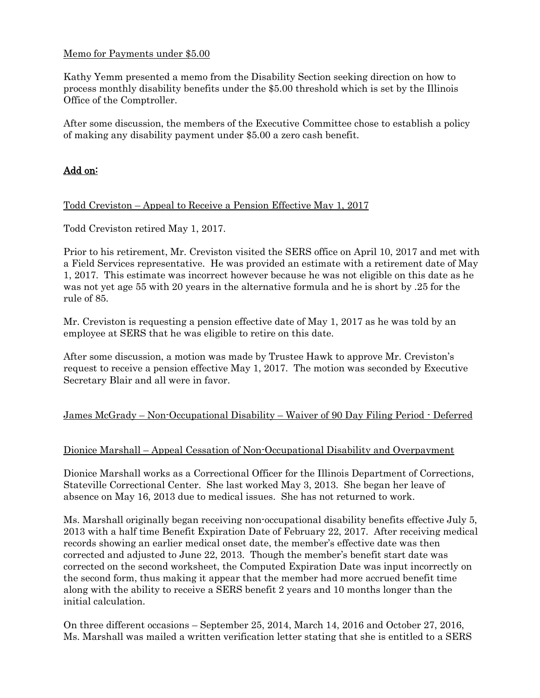### Memo for Payments under \$5.00

Kathy Yemm presented a memo from the Disability Section seeking direction on how to process monthly disability benefits under the \$5.00 threshold which is set by the Illinois Office of the Comptroller.

After some discussion, the members of the Executive Committee chose to establish a policy of making any disability payment under \$5.00 a zero cash benefit.

# Add on:

#### Todd Creviston – Appeal to Receive a Pension Effective May 1, 2017

Todd Creviston retired May 1, 2017.

Prior to his retirement, Mr. Creviston visited the SERS office on April 10, 2017 and met with a Field Services representative. He was provided an estimate with a retirement date of May 1, 2017. This estimate was incorrect however because he was not eligible on this date as he was not yet age 55 with 20 years in the alternative formula and he is short by .25 for the rule of 85.

Mr. Creviston is requesting a pension effective date of May 1, 2017 as he was told by an employee at SERS that he was eligible to retire on this date.

After some discussion, a motion was made by Trustee Hawk to approve Mr. Creviston's request to receive a pension effective May 1, 2017. The motion was seconded by Executive Secretary Blair and all were in favor.

### James McGrady – Non-Occupational Disability – Waiver of 90 Day Filing Period - Deferred

### Dionice Marshall – Appeal Cessation of Non-Occupational Disability and Overpayment

Dionice Marshall works as a Correctional Officer for the Illinois Department of Corrections, Stateville Correctional Center. She last worked May 3, 2013. She began her leave of absence on May 16, 2013 due to medical issues. She has not returned to work.

Ms. Marshall originally began receiving non-occupational disability benefits effective July 5, 2013 with a half time Benefit Expiration Date of February 22, 2017. After receiving medical records showing an earlier medical onset date, the member's effective date was then corrected and adjusted to June 22, 2013. Though the member's benefit start date was corrected on the second worksheet, the Computed Expiration Date was input incorrectly on the second form, thus making it appear that the member had more accrued benefit time along with the ability to receive a SERS benefit 2 years and 10 months longer than the initial calculation.

On three different occasions – September 25, 2014, March 14, 2016 and October 27, 2016, Ms. Marshall was mailed a written verification letter stating that she is entitled to a SERS